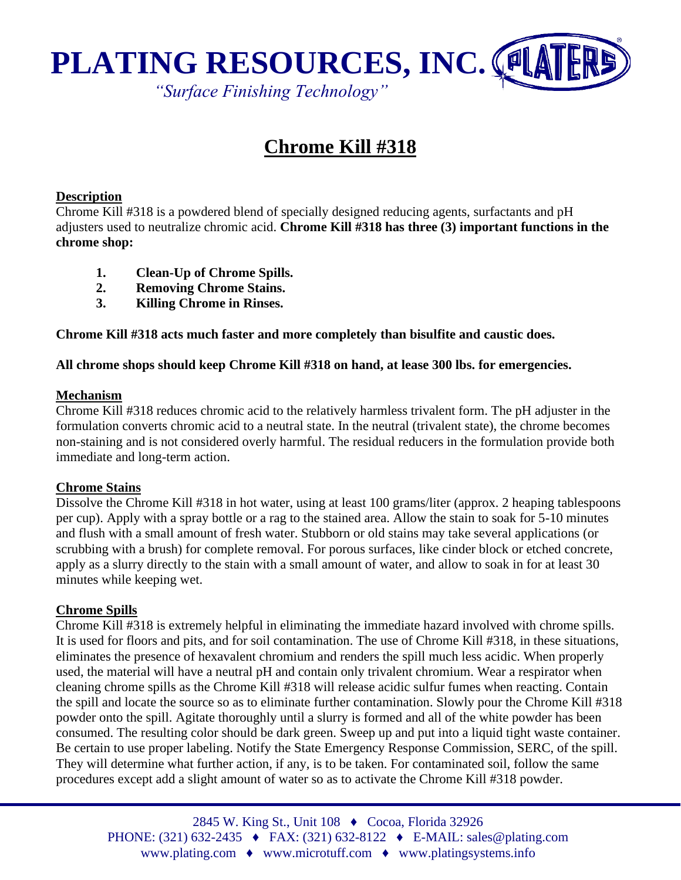

# **Chrome Kill #318**

### **Description**

Chrome Kill #318 is a powdered blend of specially designed reducing agents, surfactants and pH adjusters used to neutralize chromic acid. **Chrome Kill #318 has three (3) important functions in the chrome shop:**

- **1. Clean-Up of Chrome Spills.**
- **2. Removing Chrome Stains.**
- **3. Killing Chrome in Rinses.**

**Chrome Kill #318 acts much faster and more completely than bisulfite and caustic does.**

## **All chrome shops should keep Chrome Kill #318 on hand, at lease 300 lbs. for emergencies.**

#### **Mechanism**

Chrome Kill #318 reduces chromic acid to the relatively harmless trivalent form. The pH adjuster in the formulation converts chromic acid to a neutral state. In the neutral (trivalent state), the chrome becomes non-staining and is not considered overly harmful. The residual reducers in the formulation provide both immediate and long-term action.

#### **Chrome Stains**

Dissolve the Chrome Kill #318 in hot water, using at least 100 grams/liter (approx. 2 heaping tablespoons per cup). Apply with a spray bottle or a rag to the stained area. Allow the stain to soak for 5-10 minutes and flush with a small amount of fresh water. Stubborn or old stains may take several applications (or scrubbing with a brush) for complete removal. For porous surfaces, like cinder block or etched concrete, apply as a slurry directly to the stain with a small amount of water, and allow to soak in for at least 30 minutes while keeping wet.

## **Chrome Spills**

Chrome Kill #318 is extremely helpful in eliminating the immediate hazard involved with chrome spills. It is used for floors and pits, and for soil contamination. The use of Chrome Kill #318, in these situations, eliminates the presence of hexavalent chromium and renders the spill much less acidic. When properly used, the material will have a neutral pH and contain only trivalent chromium. Wear a respirator when cleaning chrome spills as the Chrome Kill #318 will release acidic sulfur fumes when reacting. Contain the spill and locate the source so as to eliminate further contamination. Slowly pour the Chrome Kill #318 powder onto the spill. Agitate thoroughly until a slurry is formed and all of the white powder has been consumed. The resulting color should be dark green. Sweep up and put into a liquid tight waste container. Be certain to use proper labeling. Notify the State Emergency Response Commission, SERC, of the spill. They will determine what further action, if any, is to be taken. For contaminated soil, follow the same procedures except add a slight amount of water so as to activate the Chrome Kill #318 powder.